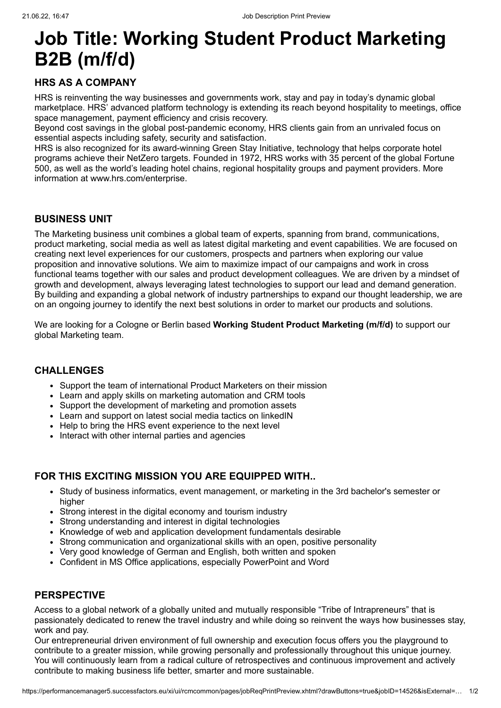# **Job Title: Working Student Product Marketing B2B (m/f/d)**

## **HRS AS A COMPANY**

HRS is reinventing the way businesses and governments work, stay and pay in today's dynamic global marketplace. HRS' advanced platform technology is extending its reach beyond hospitality to meetings, office space management, payment efficiency and crisis recovery.

Beyond cost savings in the global post-pandemic economy, HRS clients gain from an unrivaled focus on essential aspects including safety, security and satisfaction.

HRS is also recognized for its [award-winning Green Stay Initiative,](javascript:void(0);) technology that helps corporate hotel programs achieve their NetZero targets. Founded in 1972, HRS works with 35 percent of the global Fortune 500, as well as the world's leading hotel chains, regional hospitality groups and payment providers. More information at [www.hrs.com/enterprise.](javascript:void(0);)

## **BUSINESS UNIT**

The Marketing business unit combines a global team of experts, spanning from brand, communications, product marketing, social media as well as latest digital marketing and event capabilities. We are focused on creating next level experiences for our customers, prospects and partners when exploring our value proposition and innovative solutions. We aim to maximize impact of our campaigns and work in cross functional teams together with our sales and product development colleagues. We are driven by a mindset of growth and development, always leveraging latest technologies to support our lead and demand generation. By building and expanding a global network of industry partnerships to expand our thought leadership, we are on an ongoing journey to identify the next best solutions in order to market our products and solutions.

We are looking for a Cologne or Berlin based **Working Student Product Marketing (m/f/d)** to support our global Marketing team.

#### **CHALLENGES**

- Support the team of international Product Marketers on their mission
- Learn and apply skills on marketing automation and CRM tools
- Support the development of marketing and promotion assets
- Learn and support on latest social media tactics on linkedIN
- Help to bring the HRS event experience to the next level
- Interact with other internal parties and agencies

## **FOR THIS EXCITING MISSION YOU ARE EQUIPPED WITH..**

- Study of business informatics, event management, or marketing in the 3rd bachelor's semester or higher
- Strong interest in the digital economy and tourism industry
- Strong understanding and interest in digital technologies
- Knowledge of web and application development fundamentals desirable
- Strong communication and organizational skills with an open, positive personality
- Very good knowledge of German and English, both written and spoken
- Confident in MS Office applications, especially PowerPoint and Word

#### **PERSPECTIVE**

Access to a global network of a globally united and mutually responsible "Tribe of Intrapreneurs" that is passionately dedicated to renew the travel industry and while doing so reinvent the ways how businesses stay, work and pay.

Our entrepreneurial driven environment of full ownership and execution focus offers you the playground to contribute to a greater mission, while growing personally and professionally throughout this unique journey. You will continuously learn from a radical culture of retrospectives and continuous improvement and actively contribute to making business life better, smarter and more sustainable.